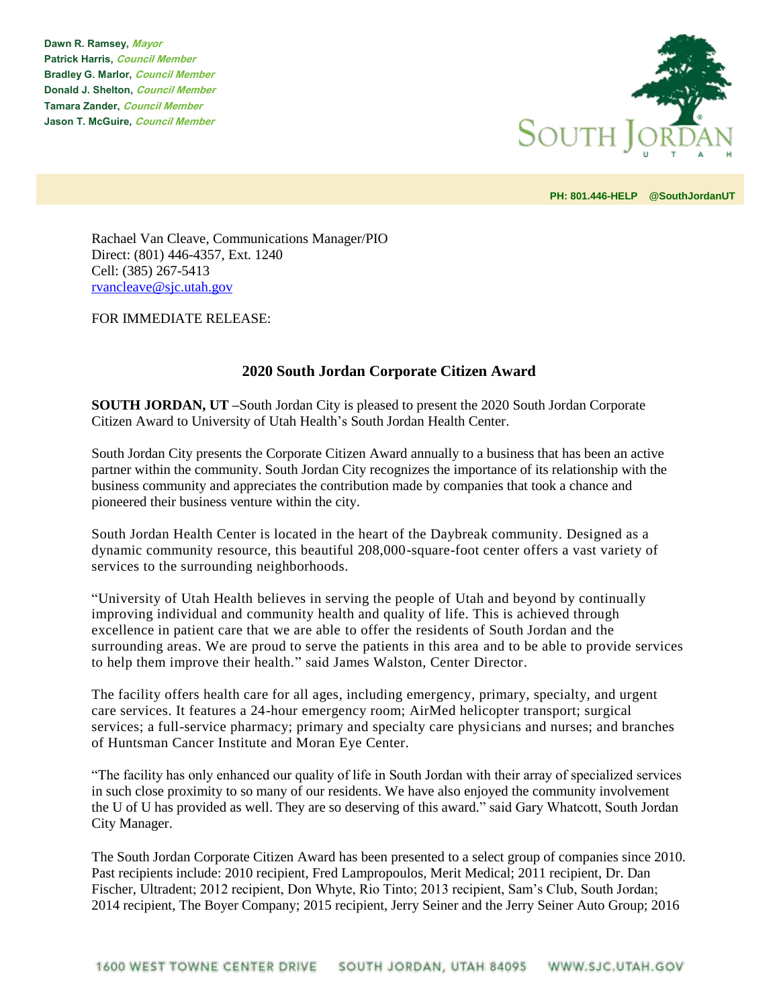**Dawn R. Ramsey, Mayor Patrick Harris, Council Member Bradley G. Marlor, Council Member Donald J. Shelton, Council Member Tamara Zander, Council Member Jason T. McGuire, Council Member**



**PH: 801.446-HELP @SouthJordanUT** 

Rachael Van Cleave, Communications Manager/PIO Direct: (801) 446-4357, Ext. 1240 Cell: (385) 267-5413 [rvancleave@sjc.utah.gov](mailto:rvancleave@sjc.utah.gov)

FOR IMMEDIATE RELEASE:

## **2020 South Jordan Corporate Citizen Award**

**SOUTH JORDAN, UT –**South Jordan City is pleased to present the 2020 South Jordan Corporate Citizen Award to University of Utah Health's South Jordan Health Center.

South Jordan City presents the Corporate Citizen Award annually to a business that has been an active partner within the community. South Jordan City recognizes the importance of its relationship with the business community and appreciates the contribution made by companies that took a chance and pioneered their business venture within the city.

South Jordan Health Center is located in the heart of the Daybreak community. Designed as a dynamic community resource, this beautiful 208,000-square-foot center offers a vast variety of services to the surrounding neighborhoods.

"University of Utah Health believes in serving the people of Utah and beyond by continually improving individual and community health and quality of life. This is achieved through excellence in patient care that we are able to offer the residents of South Jordan and the surrounding areas. We are proud to serve the patients in this area and to be able to provide services to help them improve their health." said James Walston, Center Director.

The facility offers health care for all ages, including emergency, primary, specialty, and urgent care services. It features a 24-hour emergency room; AirMed helicopter transport; surgical services; a full-service pharmacy; primary and specialty care physicians and nurses; and branches of Huntsman Cancer Institute and Moran Eye Center.

"The facility has only enhanced our quality of life in South Jordan with their array of specialized services in such close proximity to so many of our residents. We have also enjoyed the community involvement the U of U has provided as well. They are so deserving of this award." said Gary Whatcott, South Jordan City Manager.

The South Jordan Corporate Citizen Award has been presented to a select group of companies since 2010. Past recipients include: 2010 recipient, Fred Lampropoulos, Merit Medical; 2011 recipient, Dr. Dan Fischer, Ultradent; 2012 recipient, Don Whyte, Rio Tinto; 2013 recipient, Sam's Club, South Jordan; 2014 recipient, The Boyer Company; 2015 recipient, Jerry Seiner and the Jerry Seiner Auto Group; 2016